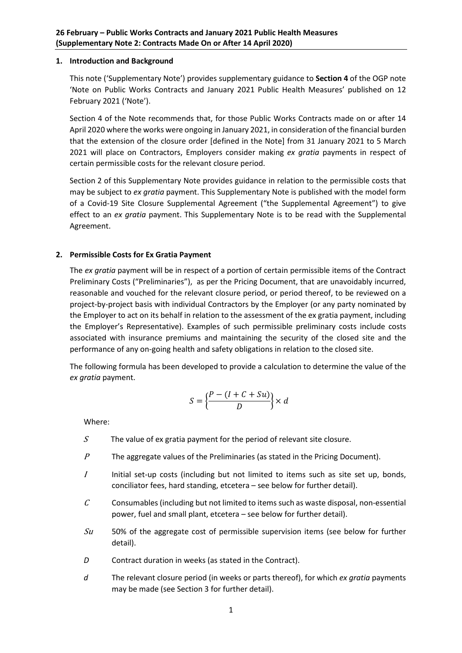### **1. Introduction and Background**

This note ('Supplementary Note') provides supplementary guidance to **Section 4** of the OGP note 'Note on Public Works Contracts and January 2021 Public Health Measures' published on 12 February 2021 ('Note').

Section 4 of the Note recommends that, for those Public Works Contracts made on or after 14 April 2020 where the works were ongoing in January 2021, in consideration of the financial burden that the extension of the closure order [defined in the Note] from 31 January 2021 to 5 March 2021 will place on Contractors, Employers consider making *ex gratia* payments in respect of certain permissible costs for the relevant closure period.

Section 2 of this Supplementary Note provides guidance in relation to the permissible costs that may be subject to *ex gratia* payment. This Supplementary Note is published with the model form of a Covid-19 Site Closure Supplemental Agreement ("the Supplemental Agreement") to give effect to an *ex gratia* payment. This Supplementary Note is to be read with the Supplemental Agreement.

# **2. Permissible Costs for Ex Gratia Payment**

The *ex gratia* payment will be in respect of a portion of certain permissible items of the Contract Preliminary Costs ("Preliminaries"), as per the Pricing Document, that are unavoidably incurred, reasonable and vouched for the relevant closure period, or period thereof, to be reviewed on a project-by-project basis with individual Contractors by the Employer (or any party nominated by the Employer to act on its behalf in relation to the assessment of the ex gratia payment, including the Employer's Representative). Examples of such permissible preliminary costs include costs associated with insurance premiums and maintaining the security of the closed site and the performance of any on-going health and safety obligations in relation to the closed site.

The following formula has been developed to provide a calculation to determine the value of the *ex gratia* payment.

$$
S = \left\{ \frac{P - (I + C + Su)}{D} \right\} \times d
$$

Where:

- $S$  The value of ex gratia payment for the period of relevant site closure.
- $P$  The aggregate values of the Preliminaries (as stated in the Pricing Document).
- $I$  Initial set-up costs (including but not limited to items such as site set up, bonds, conciliator fees, hard standing, etcetera – see below for further detail).
- $C$  Consumables (including but not limited to items such as waste disposal, non-essential power, fuel and small plant, etcetera – see below for further detail).
- $Su$  50% of the aggregate cost of permissible supervision items (see below for further detail).
- *D* Contract duration in weeks (as stated in the Contract).
- *d* The relevant closure period (in weeks or parts thereof), for which *ex gratia* payments may be made (see Section 3 for further detail).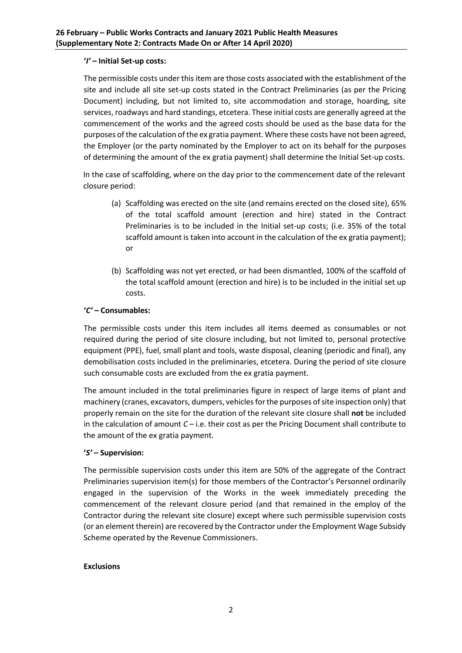### **'***I' –* **Initial Set-up costs:**

The permissible costs under this item are those costs associated with the establishment of the site and include all site set-up costs stated in the Contract Preliminaries (as per the Pricing Document) including, but not limited to, site accommodation and storage, hoarding, site services, roadways and hard standings, etcetera. These initial costs are generally agreed at the commencement of the works and the agreed costs should be used as the base data for the purposes of the calculation of the ex gratia payment. Where these costs have not been agreed, the Employer (or the party nominated by the Employer to act on its behalf for the purposes of determining the amount of the ex gratia payment) shall determine the Initial Set-up costs.

In the case of scaffolding, where on the day prior to the commencement date of the relevant closure period:

- (a) Scaffolding was erected on the site (and remains erected on the closed site), 65% of the total scaffold amount (erection and hire) stated in the Contract Preliminaries is to be included in the Initial set-up costs; (i.e. 35% of the total scaffold amount is taken into account in the calculation of the ex gratia payment); or
- (b) Scaffolding was not yet erected, or had been dismantled, 100% of the scaffold of the total scaffold amount (erection and hire) is to be included in the initial set up costs.

# **'***C'* **– Consumables:**

The permissible costs under this item includes all items deemed as consumables or not required during the period of site closure including, but not limited to, personal protective equipment (PPE), fuel, small plant and tools, waste disposal, cleaning (periodic and final), any demobilisation costs included in the preliminaries, etcetera. During the period of site closure such consumable costs are excluded from the ex gratia payment.

The amount included in the total preliminaries figure in respect of large items of plant and machinery (cranes, excavators, dumpers, vehicles for the purposes of site inspection only) that properly remain on the site for the duration of the relevant site closure shall **not** be included in the calculation of amount *C* – i.e. their cost as per the Pricing Document shall contribute to the amount of the ex gratia payment.

#### **'***S'* **– Supervision:**

The permissible supervision costs under this item are 50% of the aggregate of the Contract Preliminaries supervision item(s) for those members of the Contractor's Personnel ordinarily engaged in the supervision of the Works in the week immediately preceding the commencement of the relevant closure period (and that remained in the employ of the Contractor during the relevant site closure) except where such permissible supervision costs (or an element therein) are recovered by the Contractor under the Employment Wage Subsidy Scheme operated by the Revenue Commissioners.

#### **Exclusions**